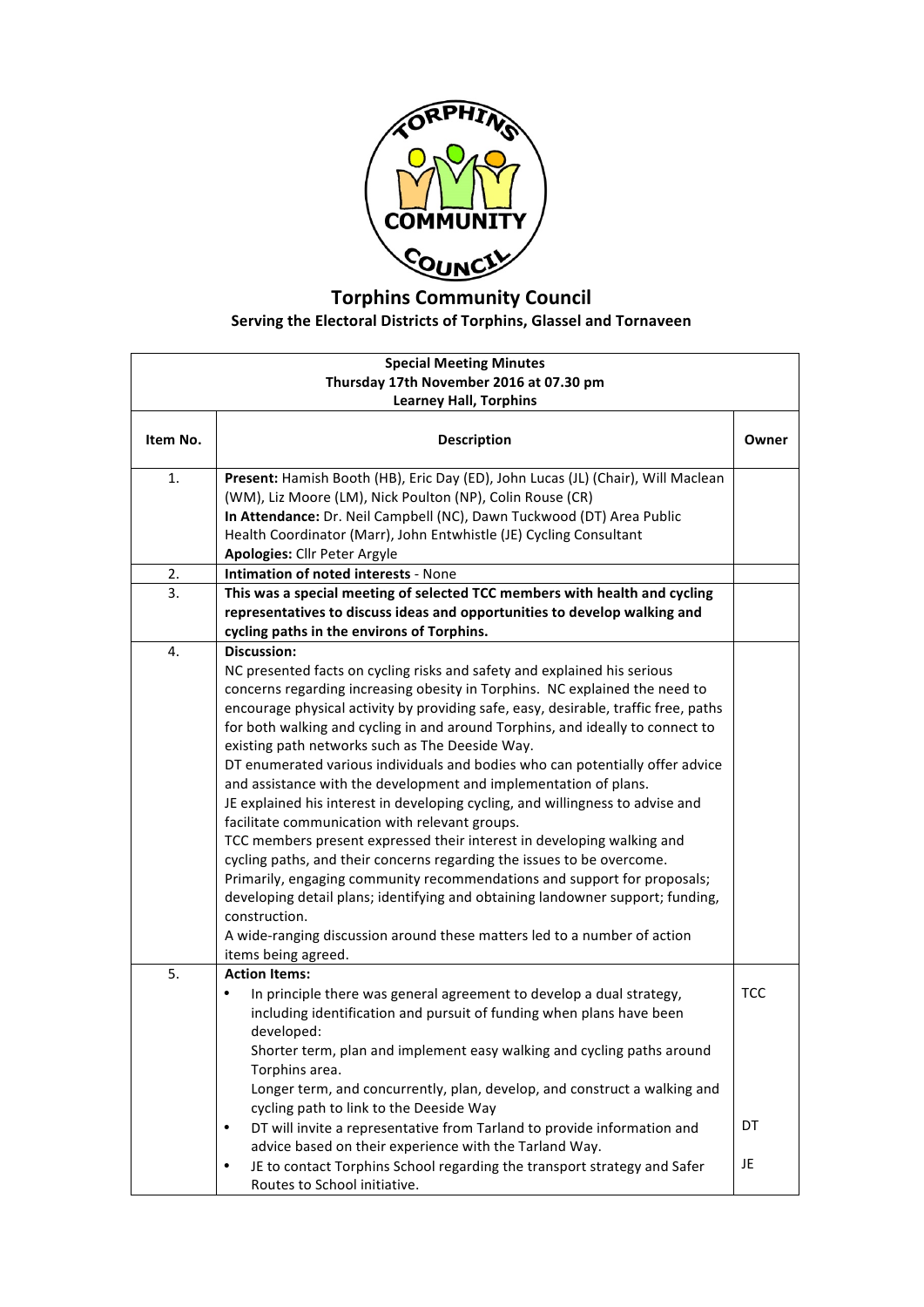

## **Torphins Community Council Serving the Electoral Districts of Torphins, Glassel and Tornaveen**

| <b>Special Meeting Minutes</b><br>Thursday 17th November 2016 at 07.30 pm<br><b>Learney Hall, Torphins</b> |                                                                                                                                                                                                                                                                                                                                                                                                                                                                                                                                                                                                                                                                                                                                                                                                                                                                                                                                                                                                                                                                                                                                          |                 |
|------------------------------------------------------------------------------------------------------------|------------------------------------------------------------------------------------------------------------------------------------------------------------------------------------------------------------------------------------------------------------------------------------------------------------------------------------------------------------------------------------------------------------------------------------------------------------------------------------------------------------------------------------------------------------------------------------------------------------------------------------------------------------------------------------------------------------------------------------------------------------------------------------------------------------------------------------------------------------------------------------------------------------------------------------------------------------------------------------------------------------------------------------------------------------------------------------------------------------------------------------------|-----------------|
| Item No.                                                                                                   | <b>Description</b>                                                                                                                                                                                                                                                                                                                                                                                                                                                                                                                                                                                                                                                                                                                                                                                                                                                                                                                                                                                                                                                                                                                       | Owner           |
| 1.                                                                                                         | Present: Hamish Booth (HB), Eric Day (ED), John Lucas (JL) (Chair), Will Maclean<br>(WM), Liz Moore (LM), Nick Poulton (NP), Colin Rouse (CR)<br>In Attendance: Dr. Neil Campbell (NC), Dawn Tuckwood (DT) Area Public<br>Health Coordinator (Marr), John Entwhistle (JE) Cycling Consultant<br><b>Apologies: Cllr Peter Argyle</b>                                                                                                                                                                                                                                                                                                                                                                                                                                                                                                                                                                                                                                                                                                                                                                                                      |                 |
| 2.                                                                                                         | <b>Intimation of noted interests - None</b>                                                                                                                                                                                                                                                                                                                                                                                                                                                                                                                                                                                                                                                                                                                                                                                                                                                                                                                                                                                                                                                                                              |                 |
| 3.                                                                                                         | This was a special meeting of selected TCC members with health and cycling<br>representatives to discuss ideas and opportunities to develop walking and<br>cycling paths in the environs of Torphins.                                                                                                                                                                                                                                                                                                                                                                                                                                                                                                                                                                                                                                                                                                                                                                                                                                                                                                                                    |                 |
| 4.                                                                                                         | <b>Discussion:</b><br>NC presented facts on cycling risks and safety and explained his serious<br>concerns regarding increasing obesity in Torphins. NC explained the need to<br>encourage physical activity by providing safe, easy, desirable, traffic free, paths<br>for both walking and cycling in and around Torphins, and ideally to connect to<br>existing path networks such as The Deeside Way.<br>DT enumerated various individuals and bodies who can potentially offer advice<br>and assistance with the development and implementation of plans.<br>JE explained his interest in developing cycling, and willingness to advise and<br>facilitate communication with relevant groups.<br>TCC members present expressed their interest in developing walking and<br>cycling paths, and their concerns regarding the issues to be overcome.<br>Primarily, engaging community recommendations and support for proposals;<br>developing detail plans; identifying and obtaining landowner support; funding,<br>construction.<br>A wide-ranging discussion around these matters led to a number of action<br>items being agreed. |                 |
| 5.                                                                                                         | <b>Action Items:</b><br>In principle there was general agreement to develop a dual strategy,<br>including identification and pursuit of funding when plans have been<br>developed:<br>Shorter term, plan and implement easy walking and cycling paths around<br>Torphins area.<br>Longer term, and concurrently, plan, develop, and construct a walking and<br>cycling path to link to the Deeside Way<br>DT will invite a representative from Tarland to provide information and<br>$\bullet$<br>advice based on their experience with the Tarland Way.<br>JE to contact Torphins School regarding the transport strategy and Safer<br>$\bullet$<br>Routes to School initiative.                                                                                                                                                                                                                                                                                                                                                                                                                                                        | TCC<br>DT<br>JE |